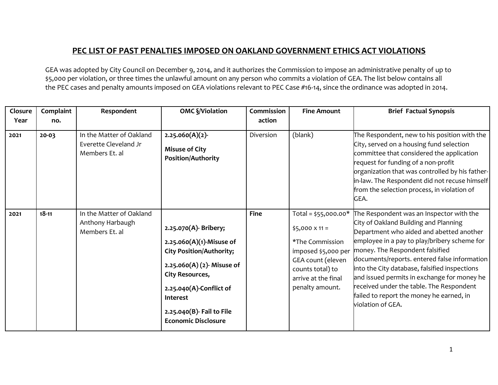## **PEC LIST OF PAST PENALTIES IMPOSED ON OAKLAND GOVERNMENT ETHICS ACT VIOLATIONS**

GEA was adopted by City Council on December 9, 2014, and it authorizes the Commission to impose an administrative penalty of up to \$5,000 per violation, or three times the unlawful amount on any person who commits a violation of GEA. The list below contains all the PEC cases and penalty amounts imposed on GEA violations relevant to PEC Case #16-14, since the ordinance was adopted in 2014.

| Closure<br>Year | Complaint<br>no. | Respondent                                                          | <b>OMC §/Violation</b>                                                                                                                                                                                                                         | Commission<br>action | <b>Fine Amount</b>                                                                                                                                                         | <b>Brief Factual Synopsis</b>                                                                                                                                                                                                                                                                                                                                                                                                                                                 |
|-----------------|------------------|---------------------------------------------------------------------|------------------------------------------------------------------------------------------------------------------------------------------------------------------------------------------------------------------------------------------------|----------------------|----------------------------------------------------------------------------------------------------------------------------------------------------------------------------|-------------------------------------------------------------------------------------------------------------------------------------------------------------------------------------------------------------------------------------------------------------------------------------------------------------------------------------------------------------------------------------------------------------------------------------------------------------------------------|
| 2021            | $20 - 03$        | In the Matter of Oakland<br>Everette Cleveland Jr<br>Members Et. al | 2.25.060(A)(2)<br><b>Misuse of City</b><br><b>Position/Authority</b>                                                                                                                                                                           | Diversion            | (blank)                                                                                                                                                                    | The Respondent, new to his position with the<br>City, served on a housing fund selection<br>committee that considered the application<br>request for funding of a non-profit<br>organization that was controlled by his father-<br>in-law. The Respondent did not recuse himself<br>from the selection process, in violation of<br>GEA.                                                                                                                                       |
| 2021            | $18 - 11$        | In the Matter of Oakland<br>Anthony Harbaugh<br>Members Et. al      | 2.25.070(A)- Bribery;<br>$2.25.060(A)(1)$ -Misuse of<br><b>City Position/Authority;</b><br>$2.25.060(A)(2)$ - Misuse of<br>City Resources,<br>$2.25.040(A)$ -Conflict of<br>Interest<br>2.25.040(B) Fail to File<br><b>Economic Disclosure</b> | <b>Fine</b>          | Total = $$55,000.00*$<br>$$5,000 \times 11 =$<br>*The Commission<br>imposed \$5,000 per<br>GEA count (eleven<br>counts total) to<br>arrive at the final<br>penalty amount. | The Respondent was an Inspector with the<br>City of Oakland Building and Planning<br>Department who aided and abetted another<br>employee in a pay to play/bribery scheme for<br>money. The Respondent falsified<br>documents/reports. entered false information<br>into the City database, falsified inspections<br>and issued permits in exchange for money he<br>received under the table. The Respondent<br>failed to report the money he earned, in<br>violation of GEA. |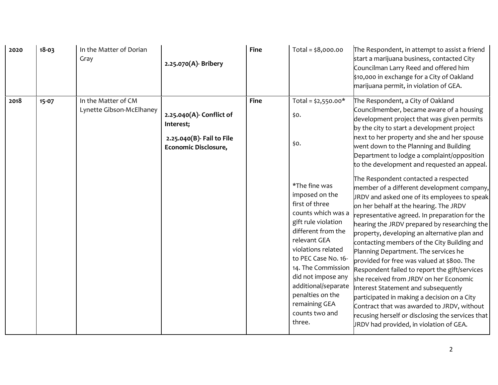| 2020 | $18 - 03$ | In the Matter of Dorian<br>Gray                 | 2.25.070(A)- Bribery                                                                       | <b>Fine</b> | Total = $$8,000.00$                                                                                                                                                           | The Respondent, in attempt to assist a friend<br>start a marijuana business, contacted City<br>Councilman Larry Reed and offered him<br>\$10,000 in exchange for a City of Oakland<br>marijuana permit, in violation of GEA.                                                                                                                                                                                                                                                                                                                                                                                                                                                                                                                                                                                                                                                                                                                                                                                                                                                                                                                                        |
|------|-----------|-------------------------------------------------|--------------------------------------------------------------------------------------------|-------------|-------------------------------------------------------------------------------------------------------------------------------------------------------------------------------|---------------------------------------------------------------------------------------------------------------------------------------------------------------------------------------------------------------------------------------------------------------------------------------------------------------------------------------------------------------------------------------------------------------------------------------------------------------------------------------------------------------------------------------------------------------------------------------------------------------------------------------------------------------------------------------------------------------------------------------------------------------------------------------------------------------------------------------------------------------------------------------------------------------------------------------------------------------------------------------------------------------------------------------------------------------------------------------------------------------------------------------------------------------------|
| 2018 | $15 - 07$ | In the Matter of CM<br>Lynette Gibson-McElhaney | 2.25.040(A)- Conflict of<br>Interest;<br>2.25.040(B)- Fail to File<br>Economic Disclosure, | <b>Fine</b> | Total = $$2,550.00*$<br>\$0.<br>\$0.<br>*The fine was<br>imposed on the<br>first of three<br>counts which was a<br>gift rule violation<br>different from the<br>relevant GEA  | The Respondent, a City of Oakland<br>Councilmember, became aware of a housing<br>development project that was given permits<br>by the city to start a development project<br>next to her property and she and her spouse<br>went down to the Planning and Building<br>Department to lodge a complaint/opposition<br>to the development and requested an appeal.<br>The Respondent contacted a respected<br>member of a different development company,<br>JRDV and asked one of its employees to speak<br>on her behalf at the hearing. The JRDV<br>representative agreed. In preparation for the<br>hearing the JRDV prepared by researching the<br>property, developing an alternative plan and<br>contacting members of the City Building and<br>Planning Department. The services he<br>provided for free was valued at \$800. The<br>Respondent failed to report the gift/services<br>she received from JRDV on her Economic<br>Interest Statement and subsequently<br>participated in making a decision on a City<br>Contract that was awarded to JRDV, without<br>recusing herself or disclosing the services that<br>JRDV had provided, in violation of GEA. |
|      |           |                                                 |                                                                                            |             | violations related<br>to PEC Case No. 16-<br>14. The Commission<br>did not impose any<br>additional/separate<br>penalties on the<br>remaining GEA<br>counts two and<br>three. |                                                                                                                                                                                                                                                                                                                                                                                                                                                                                                                                                                                                                                                                                                                                                                                                                                                                                                                                                                                                                                                                                                                                                                     |